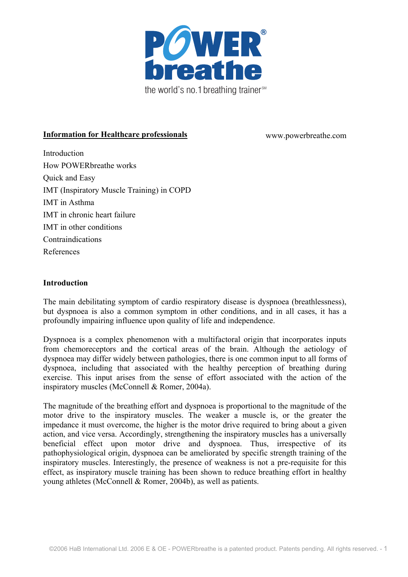

# **Information for Healthcare professionals** www.powerbreathe.com

Introduction How POWERbreathe works Quick and Easy IMT (Inspiratory Muscle Training) in COPD IMT in Asthma IMT in chronic heart failure IMT in other conditions Contraindications References

## **Introduction**

The main debilitating symptom of cardio respiratory disease is dyspnoea (breathlessness), but dyspnoea is also a common symptom in other conditions, and in all cases, it has a profoundly impairing influence upon quality of life and independence.

Dyspnoea is a complex phenomenon with a multifactoral origin that incorporates inputs from chemoreceptors and the cortical areas of the brain. Although the aetiology of dyspnoea may differ widely between pathologies, there is one common input to all forms of dyspnoea, including that associated with the healthy perception of breathing during exercise. This input arises from the sense of effort associated with the action of the inspiratory muscles (McConnell & Romer, 2004a).

The magnitude of the breathing effort and dyspnoea is proportional to the magnitude of the motor drive to the inspiratory muscles. The weaker a muscle is, or the greater the impedance it must overcome, the higher is the motor drive required to bring about a given action, and vice versa. Accordingly, strengthening the inspiratory muscles has a universally beneficial effect upon motor drive and dyspnoea. Thus, irrespective of its pathophysiological origin, dyspnoea can be ameliorated by specific strength training of the inspiratory muscles. Interestingly, the presence of weakness is not a pre-requisite for this effect, as inspiratory muscle training has been shown to reduce breathing effort in healthy young athletes (McConnell & Romer, 2004b), as well as patients.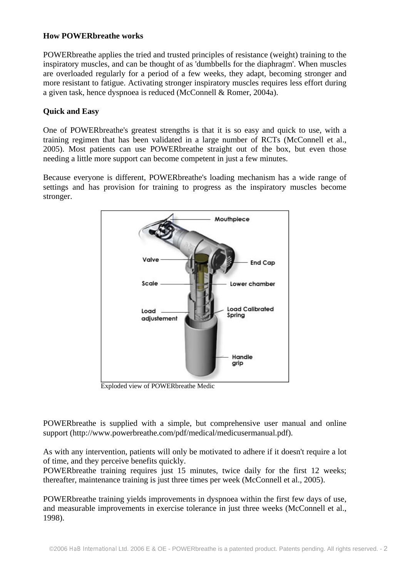## **How POWERbreathe works**

POWERbreathe applies the tried and trusted principles of resistance (weight) training to the inspiratory muscles, and can be thought of as 'dumbbells for the diaphragm'. When muscles are overloaded regularly for a period of a few weeks, they adapt, becoming stronger and more resistant to fatigue. Activating stronger inspiratory muscles requires less effort during a given task, hence dyspnoea is reduced (McConnell & Romer, 2004a).

## **Quick and Easy**

One of POWERbreathe's greatest strengths is that it is so easy and quick to use, with a training regimen that has been validated in a large number of RCTs (McConnell et al., 2005). Most patients can use POWERbreathe straight out of the box, but even those needing a little more support can become competent in just a few minutes.

Because everyone is different, POWERbreathe's loading mechanism has a wide range of settings and has provision for training to progress as the inspiratory muscles become stronger.



Exploded view of POWERbreathe Medic

POWERbreathe is supplied with a simple, but comprehensive user manual and online support (http://www.powerbreathe.com/pdf/medical/medicusermanual.pdf).

As with any intervention, patients will only be motivated to adhere if it doesn't require a lot of time, and they perceive benefits quickly.

POWERbreathe training requires just 15 minutes, twice daily for the first 12 weeks; thereafter, maintenance training is just three times per week (McConnell et al., 2005).

POWERbreathe training yields improvements in dyspnoea within the first few days of use, and measurable improvements in exercise tolerance in just three weeks (McConnell et al., 1998).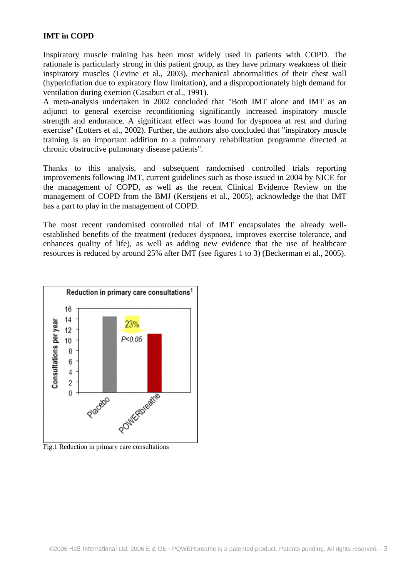## **IMT in COPD**

Inspiratory muscle training has been most widely used in patients with COPD. The rationale is particularly strong in this patient group, as they have primary weakness of their inspiratory muscles (Levine et al., 2003), mechanical abnormalities of their chest wall (hyperinflation due to expiratory flow limitation), and a disproportionately high demand for ventilation during exertion (Casaburi et al., 1991).

A meta-analysis undertaken in 2002 concluded that "Both IMT alone and IMT as an adjunct to general exercise reconditioning significantly increased inspiratory muscle strength and endurance. A significant effect was found for dyspnoea at rest and during exercise" (Lotters et al., 2002). Further, the authors also concluded that "inspiratory muscle training is an important addition to a pulmonary rehabilitation programme directed at chronic obstructive pulmonary disease patients".

Thanks to this analysis, and subsequent randomised controlled trials reporting improvements following IMT, current guidelines such as those issued in 2004 by NICE for the management of COPD, as well as the recent Clinical Evidence Review on the management of COPD from the BMJ (Kerstjens et al., 2005), acknowledge the that IMT has a part to play in the management of COPD.

The most recent randomised controlled trial of IMT encapsulates the already wellestablished benefits of the treatment (reduces dyspnoea, improves exercise tolerance, and enhances quality of life), as well as adding new evidence that the use of healthcare resources is reduced by around 25% after IMT (see figures 1 to 3) (Beckerman et al., 2005).



Fig.1 Reduction in primary care consultations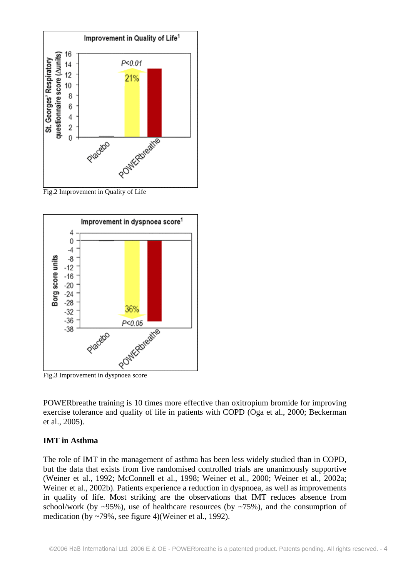

Fig.2 Improvement in Quality of Life



POWERbreathe training is 10 times more effective than oxitropium bromide for improving exercise tolerance and quality of life in patients with COPD (Oga et al., 2000; Beckerman et al., 2005).

#### **IMT in Asthma**

The role of IMT in the management of asthma has been less widely studied than in COPD, but the data that exists from five randomised controlled trials are unanimously supportive (Weiner et al., 1992; McConnell et al., 1998; Weiner et al., 2000; Weiner et al., 2002a; Weiner et al., 2002b). Patients experience a reduction in dyspnoea, as well as improvements in quality of life. Most striking are the observations that IMT reduces absence from school/work (by  $\sim$ 95%), use of healthcare resources (by  $\sim$ 75%), and the consumption of medication (by ~79%, see figure 4)(Weiner et al., 1992).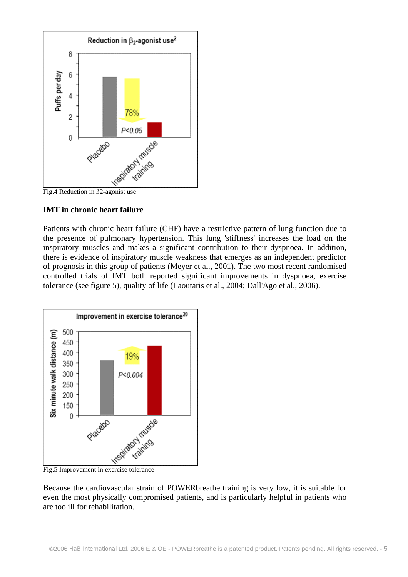



### **IMT in chronic heart failure**

Patients with chronic heart failure (CHF) have a restrictive pattern of lung function due to the presence of pulmonary hypertension. This lung 'stiffness' increases the load on the inspiratory muscles and makes a significant contribution to their dyspnoea. In addition, there is evidence of inspiratory muscle weakness that emerges as an independent predictor of prognosis in this group of patients (Meyer et al., 2001). The two most recent randomised controlled trials of IMT both reported significant improvements in dyspnoea, exercise tolerance (see figure 5), quality of life (Laoutaris et al., 2004; Dall'Ago et al., 2006).



Because the cardiovascular strain of POWERbreathe training is very low, it is suitable for even the most physically compromised patients, and is particularly helpful in patients who are too ill for rehabilitation.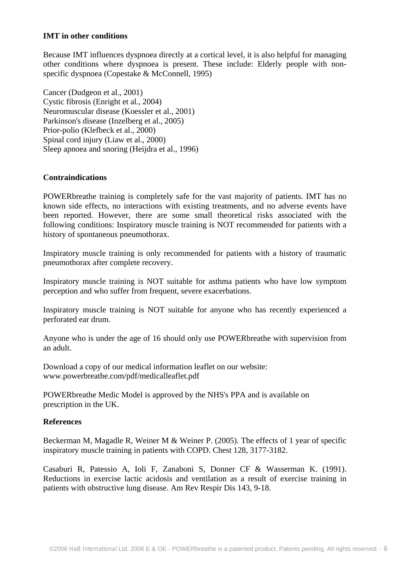### **IMT in other conditions**

Because IMT influences dyspnoea directly at a cortical level, it is also helpful for managing other conditions where dyspnoea is present. These include: Elderly people with nonspecific dyspnoea (Copestake & McConnell, 1995)

Cancer (Dudgeon et al., 2001) Cystic fibrosis (Enright et al., 2004) Neuromuscular disease (Koessler et al., 2001) Parkinson's disease (Inzelberg et al., 2005) Prior-polio (Klefbeck et al., 2000) Spinal cord injury (Liaw et al., 2000) Sleep apnoea and snoring (Heijdra et al., 1996)

## **Contraindications**

POWERbreathe training is completely safe for the vast majority of patients. IMT has no known side effects, no interactions with existing treatments, and no adverse events have been reported. However, there are some small theoretical risks associated with the following conditions: Inspiratory muscle training is NOT recommended for patients with a history of spontaneous pneumothorax.

Inspiratory muscle training is only recommended for patients with a history of traumatic pneumothorax after complete recovery.

Inspiratory muscle training is NOT suitable for asthma patients who have low symptom perception and who suffer from frequent, severe exacerbations.

Inspiratory muscle training is NOT suitable for anyone who has recently experienced a perforated ear drum.

Anyone who is under the age of 16 should only use POWERbreathe with supervision from an adult.

Download a copy of our medical information leaflet on our website: www.powerbreathe.com/pdf/medicalleaflet.pdf

POWERbreathe Medic Model is approved by the NHS's PPA and is available on prescription in the UK.

## **References**

Beckerman M, Magadle R, Weiner M & Weiner P. (2005). The effects of 1 year of specific inspiratory muscle training in patients with COPD. Chest 128, 3177-3182.

Casaburi R, Patessio A, Ioli F, Zanaboni S, Donner CF & Wasserman K. (1991). Reductions in exercise lactic acidosis and ventilation as a result of exercise training in patients with obstructive lung disease. Am Rev Respir Dis 143, 9-18.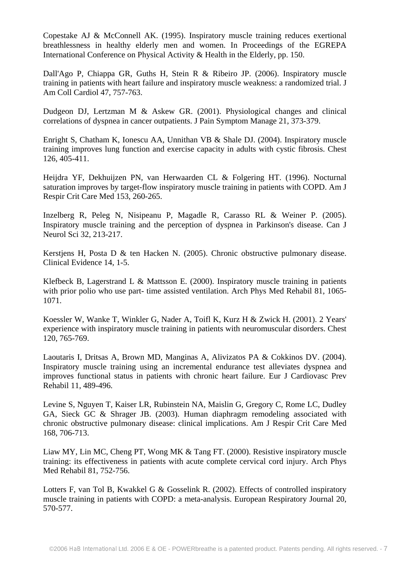Copestake AJ & McConnell AK. (1995). Inspiratory muscle training reduces exertional breathlessness in healthy elderly men and women. In Proceedings of the EGREPA International Conference on Physical Activity & Health in the Elderly, pp. 150.

Dall'Ago P, Chiappa GR, Guths H, Stein R & Ribeiro JP. (2006). Inspiratory muscle training in patients with heart failure and inspiratory muscle weakness: a randomized trial. J Am Coll Cardiol 47, 757-763.

Dudgeon DJ, Lertzman M & Askew GR. (2001). Physiological changes and clinical correlations of dyspnea in cancer outpatients. J Pain Symptom Manage 21, 373-379.

Enright S, Chatham K, Ionescu AA, Unnithan VB & Shale DJ. (2004). Inspiratory muscle training improves lung function and exercise capacity in adults with cystic fibrosis. Chest 126, 405-411.

Heijdra YF, Dekhuijzen PN, van Herwaarden CL & Folgering HT. (1996). Nocturnal saturation improves by target-flow inspiratory muscle training in patients with COPD. Am J Respir Crit Care Med 153, 260-265.

Inzelberg R, Peleg N, Nisipeanu P, Magadle R, Carasso RL & Weiner P. (2005). Inspiratory muscle training and the perception of dyspnea in Parkinson's disease. Can J Neurol Sci 32, 213-217.

Kerstjens H, Posta D & ten Hacken N. (2005). Chronic obstructive pulmonary disease. Clinical Evidence 14, 1-5.

Klefbeck B, Lagerstrand L & Mattsson E. (2000). Inspiratory muscle training in patients with prior polio who use part- time assisted ventilation. Arch Phys Med Rehabil 81, 1065- 1071.

Koessler W, Wanke T, Winkler G, Nader A, Toifl K, Kurz H & Zwick H. (2001). 2 Years' experience with inspiratory muscle training in patients with neuromuscular disorders. Chest 120, 765-769.

Laoutaris I, Dritsas A, Brown MD, Manginas A, Alivizatos PA & Cokkinos DV. (2004). Inspiratory muscle training using an incremental endurance test alleviates dyspnea and improves functional status in patients with chronic heart failure. Eur J Cardiovasc Prev Rehabil 11, 489-496.

Levine S, Nguyen T, Kaiser LR, Rubinstein NA, Maislin G, Gregory C, Rome LC, Dudley GA, Sieck GC & Shrager JB. (2003). Human diaphragm remodeling associated with chronic obstructive pulmonary disease: clinical implications. Am J Respir Crit Care Med 168, 706-713.

Liaw MY, Lin MC, Cheng PT, Wong MK & Tang FT. (2000). Resistive inspiratory muscle training: its effectiveness in patients with acute complete cervical cord injury. Arch Phys Med Rehabil 81, 752-756.

Lotters F, van Tol B, Kwakkel G & Gosselink R. (2002). Effects of controlled inspiratory muscle training in patients with COPD: a meta-analysis. European Respiratory Journal 20, 570-577.